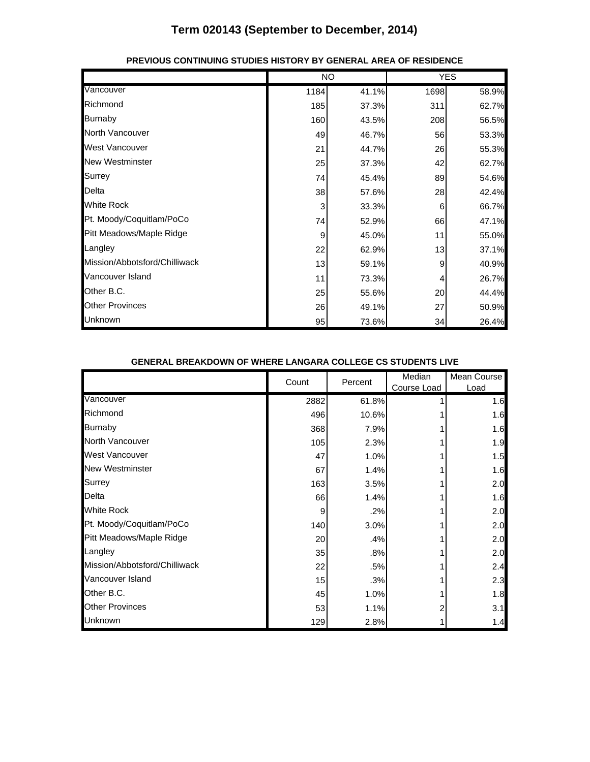|                               | <b>NO</b> |       | <b>YES</b> |       |
|-------------------------------|-----------|-------|------------|-------|
| Vancouver                     | 1184      | 41.1% | 1698       | 58.9% |
| Richmond                      | 185       | 37.3% | 311        | 62.7% |
| <b>Burnaby</b>                | 160       | 43.5% | 208        | 56.5% |
| North Vancouver               | 49        | 46.7% | 56         | 53.3% |
| <b>West Vancouver</b>         | 21        | 44.7% | 26         | 55.3% |
| <b>New Westminster</b>        | 25        | 37.3% | 42         | 62.7% |
| Surrey                        | 74        | 45.4% | 89         | 54.6% |
| Delta                         | 38        | 57.6% | 28         | 42.4% |
| <b>White Rock</b>             | 3         | 33.3% | 6          | 66.7% |
| Pt. Moody/Coquitlam/PoCo      | 74        | 52.9% | 66         | 47.1% |
| Pitt Meadows/Maple Ridge      | 9         | 45.0% | 11         | 55.0% |
| Langley                       | 22        | 62.9% | 13         | 37.1% |
| Mission/Abbotsford/Chilliwack | 13        | 59.1% | 9          | 40.9% |
| Vancouver Island              | 11        | 73.3% | 4          | 26.7% |
| Other B.C.                    | 25        | 55.6% | 20         | 44.4% |
| <b>Other Provinces</b>        | 26        | 49.1% | 27         | 50.9% |
| Unknown                       | 95        | 73.6% | 34         | 26.4% |

#### **PREVIOUS CONTINUING STUDIES HISTORY BY GENERAL AREA OF RESIDENCE**

#### **GENERAL BREAKDOWN OF WHERE LANGARA COLLEGE CS STUDENTS LIVE**

|                               | Count | Percent | Median<br>Course Load | Mean Course<br>Load |
|-------------------------------|-------|---------|-----------------------|---------------------|
| Vancouver                     | 2882  | 61.8%   |                       | 1.6                 |
| Richmond                      | 496   | 10.6%   |                       | 1.6                 |
| <b>Burnaby</b>                | 368   | 7.9%    |                       | 1.6                 |
| North Vancouver               | 105   | 2.3%    |                       | 1.9                 |
| West Vancouver                | 47    | 1.0%    |                       | 1.5                 |
| <b>New Westminster</b>        | 67    | 1.4%    |                       | 1.6                 |
| <b>Surrey</b>                 | 163   | 3.5%    |                       | 2.0                 |
| Delta                         | 66    | 1.4%    |                       | 1.6                 |
| <b>White Rock</b>             | 9     | .2%     |                       | 2.0                 |
| Pt. Moody/Coquitlam/PoCo      | 140   | 3.0%    |                       | 2.0                 |
| Pitt Meadows/Maple Ridge      | 20    | .4%     |                       | 2.0                 |
| Langley                       | 35    | .8%     |                       | 2.0                 |
| Mission/Abbotsford/Chilliwack | 22    | .5%     |                       | 2.4                 |
| Vancouver Island              | 15    | .3%     |                       | 2.3                 |
| Other B.C.                    | 45    | 1.0%    |                       | 1.8                 |
| <b>Other Provinces</b>        | 53    | 1.1%    |                       | 3.1                 |
| Unknown                       | 129   | 2.8%    |                       | 1.4                 |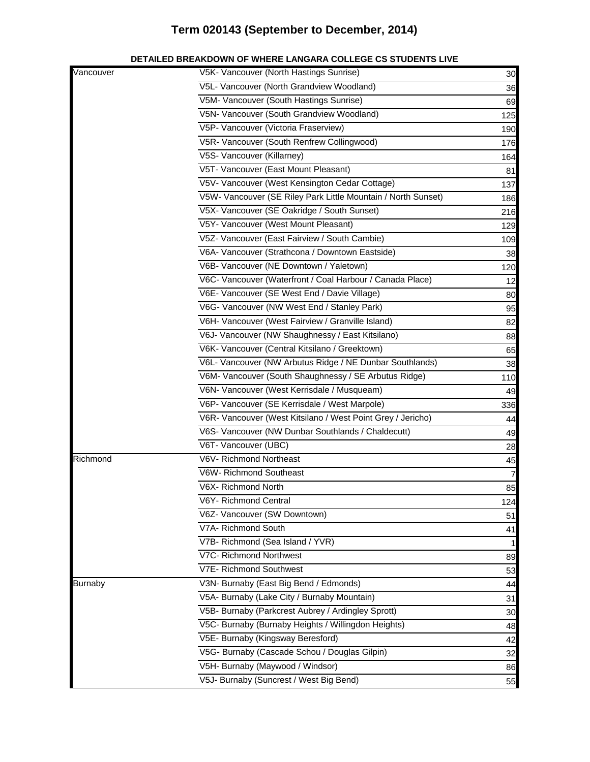|                | ETAILED BREAKDOWN OF WHERE LANGARA COLLEGE CS STUDENTS LIVI   |     |
|----------------|---------------------------------------------------------------|-----|
| Vancouver      | V5K- Vancouver (North Hastings Sunrise)                       | 30  |
|                | V5L- Vancouver (North Grandview Woodland)                     | 36  |
|                | V5M- Vancouver (South Hastings Sunrise)                       | 69  |
|                | V5N- Vancouver (South Grandview Woodland)                     | 125 |
|                | V5P- Vancouver (Victoria Fraserview)                          | 190 |
|                | V5R- Vancouver (South Renfrew Collingwood)                    | 176 |
|                | V5S- Vancouver (Killarney)                                    | 164 |
|                | V5T- Vancouver (East Mount Pleasant)                          | 81  |
|                | V5V- Vancouver (West Kensington Cedar Cottage)                | 137 |
|                | V5W- Vancouver (SE Riley Park Little Mountain / North Sunset) | 186 |
|                | V5X- Vancouver (SE Oakridge / South Sunset)                   | 216 |
|                | V5Y- Vancouver (West Mount Pleasant)                          | 129 |
|                | V5Z- Vancouver (East Fairview / South Cambie)                 | 109 |
|                | V6A- Vancouver (Strathcona / Downtown Eastside)               | 38  |
|                | V6B- Vancouver (NE Downtown / Yaletown)                       | 120 |
|                | V6C- Vancouver (Waterfront / Coal Harbour / Canada Place)     | 12  |
|                | V6E- Vancouver (SE West End / Davie Village)                  | 80  |
|                | V6G- Vancouver (NW West End / Stanley Park)                   | 95  |
|                | V6H- Vancouver (West Fairview / Granville Island)             | 82  |
|                | V6J- Vancouver (NW Shaughnessy / East Kitsilano)              | 88  |
|                | V6K- Vancouver (Central Kitsilano / Greektown)                | 65  |
|                | V6L- Vancouver (NW Arbutus Ridge / NE Dunbar Southlands)      | 38  |
|                | V6M- Vancouver (South Shaughnessy / SE Arbutus Ridge)         | 110 |
|                | V6N- Vancouver (West Kerrisdale / Musqueam)                   | 49  |
|                | V6P- Vancouver (SE Kerrisdale / West Marpole)                 | 336 |
|                | V6R- Vancouver (West Kitsilano / West Point Grey / Jericho)   | 44  |
|                | V6S- Vancouver (NW Dunbar Southlands / Chaldecutt)            | 49  |
|                | V6T- Vancouver (UBC)                                          | 28  |
| Richmond       | V6V- Richmond Northeast                                       | 45  |
|                | V6W- Richmond Southeast                                       | 7   |
|                | V6X- Richmond North                                           | 85  |
|                | V6Y- Richmond Central                                         | 124 |
|                | V6Z- Vancouver (SW Downtown)                                  | 51  |
|                | V7A- Richmond South                                           | 41  |
|                | V7B- Richmond (Sea Island / YVR)                              | 1   |
|                | V7C- Richmond Northwest                                       | 89  |
|                | V7E- Richmond Southwest                                       | 53  |
| <b>Burnaby</b> | V3N- Burnaby (East Big Bend / Edmonds)                        | 44  |
|                | V5A- Burnaby (Lake City / Burnaby Mountain)                   | 31  |
|                | V5B- Burnaby (Parkcrest Aubrey / Ardingley Sprott)            | 30  |
|                | V5C- Burnaby (Burnaby Heights / Willingdon Heights)           | 48  |
|                | V5E- Burnaby (Kingsway Beresford)                             | 42  |
|                | V5G- Burnaby (Cascade Schou / Douglas Gilpin)                 |     |
|                | V5H- Burnaby (Maywood / Windsor)                              | 32  |
|                |                                                               | 86  |
|                | V5J- Burnaby (Suncrest / West Big Bend)                       | 55  |

#### **DETAILED BREAKDOWN OF WHERE LANGARA COLLEGE CS STUDENTS LIVE**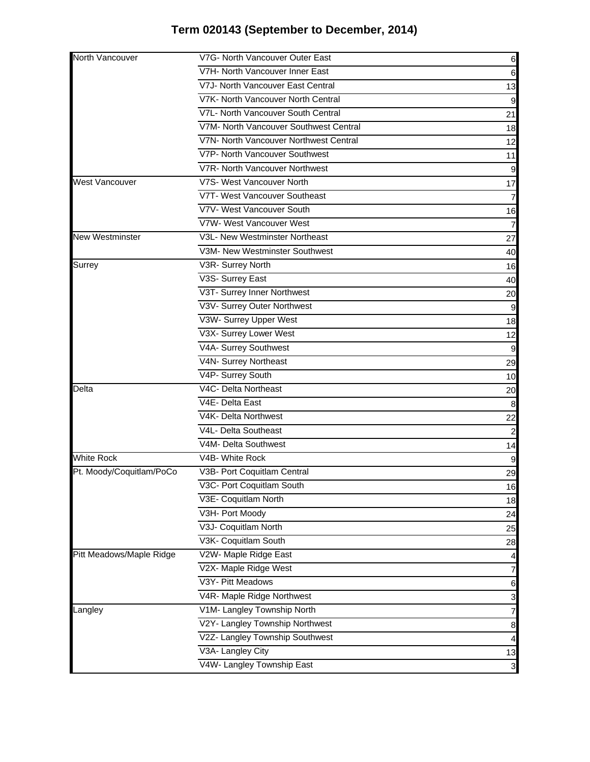| North Vancouver          | V7G- North Vancouver Outer East        | 6               |
|--------------------------|----------------------------------------|-----------------|
|                          | V7H- North Vancouver Inner East        | 6               |
|                          | V7J- North Vancouver East Central      | 13              |
|                          | V7K- North Vancouver North Central     | 9               |
|                          | V7L- North Vancouver South Central     | 21              |
|                          | V7M- North Vancouver Southwest Central | 18              |
|                          | V7N- North Vancouver Northwest Central | 12              |
|                          | V7P- North Vancouver Southwest         | 11              |
|                          | V7R- North Vancouver Northwest         |                 |
| <b>West Vancouver</b>    | V7S- West Vancouver North              | 17              |
|                          | V7T- West Vancouver Southeast          | 7               |
|                          | V7V- West Vancouver South              | 16              |
|                          | V7W- West Vancouver West               |                 |
| <b>New Westminster</b>   | V3L- New Westminster Northeast         | 27              |
|                          | V3M- New Westminster Southwest         | 40              |
| Surrey                   | V3R- Surrey North                      | 16              |
|                          | V3S- Surrey East                       | 40              |
|                          | V3T- Surrey Inner Northwest            | 20              |
|                          | V3V- Surrey Outer Northwest            |                 |
|                          | V3W- Surrey Upper West                 | 18              |
|                          | V3X- Surrey Lower West                 | 12              |
|                          | V4A- Surrey Southwest                  | 9               |
|                          | V4N- Surrey Northeast                  | 29              |
|                          | V4P- Surrey South                      | 10              |
| Delta                    | V4C- Delta Northeast                   | 20              |
|                          | V4E- Delta East                        | 8               |
|                          | V4K- Delta Northwest                   | 22              |
|                          | V4L- Delta Southeast                   |                 |
|                          | V4M- Delta Southwest                   | 14              |
| <b>White Rock</b>        | V4B- White Rock                        | 9               |
| Pt. Moody/Coquitlam/PoCo | V3B- Port Coquitlam Central            | 29              |
|                          | V3C- Port Coquitlam South              | 16              |
|                          | V3E- Coquitlam North                   | 18              |
|                          | V3H- Port Moody                        | 24              |
|                          | V3J- Coquitlam North                   | 25              |
|                          | V3K- Coquitlam South                   | 28              |
| Pitt Meadows/Maple Ridge | V2W- Maple Ridge East                  | 4               |
|                          | V2X- Maple Ridge West                  | 7               |
|                          | V3Y- Pitt Meadows                      | $6\phantom{.}6$ |
|                          | V4R- Maple Ridge Northwest             | 3               |
| Langley                  | V1M- Langley Township North            | 7               |
|                          | V2Y- Langley Township Northwest        | 8               |
|                          | V2Z- Langley Township Southwest        | 4               |
|                          | V3A- Langley City                      | 13              |
|                          | V4W- Langley Township East             | 3               |